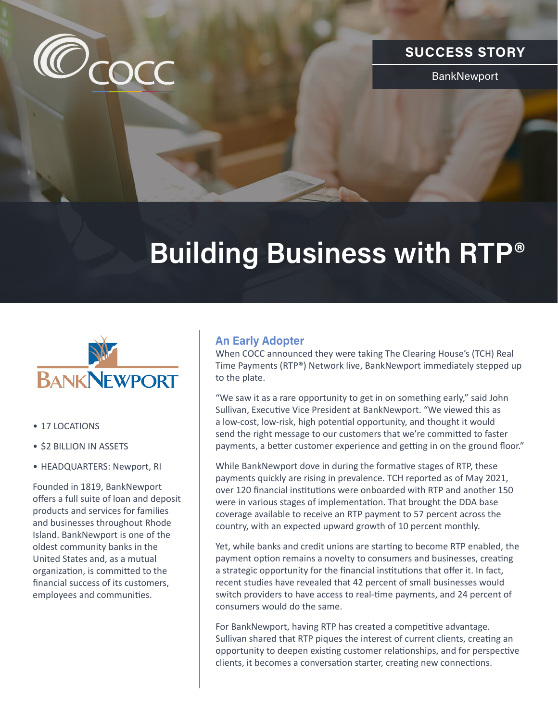

## **SUCCESS STORY**

BankNewport

# **Building Business with RTP®**



- 17 LOCATIONS
- \$2 BILLION IN ASSETS
- HEADQUARTERS: Newport, RI

Founded in 1819, BankNewport offers a full suite of loan and deposit products and services for families and businesses throughout Rhode Island. BankNewport is one of the oldest community banks in the United States and, as a mutual organization, is committed to the financial success of its customers, employees and communities.

### **An Early Adopter**

When COCC announced they were taking The Clearing House's (TCH) Real Time Payments (RTP®) Network live, BankNewport immediately stepped up to the plate.

"We saw it as a rare opportunity to get in on something early," said John Sullivan, Executive Vice President at BankNewport. "We viewed this as a low-cost, low-risk, high potential opportunity, and thought it would send the right message to our customers that we're committed to faster payments, a better customer experience and getting in on the ground floor."

While BankNewport dove in during the formative stages of RTP, these payments quickly are rising in prevalence. TCH reported as of May 2021, over 120 financial institutions were onboarded with RTP and another 150 were in various stages of implementation. That brought the DDA base coverage available to receive an RTP payment to 57 percent across the country, with an expected upward growth of 10 percent monthly.

Yet, while banks and credit unions are starting to become RTP enabled, the payment option remains a novelty to consumers and businesses, creating a strategic opportunity for the financial institutions that offer it. In fact, recent studies have revealed that 42 percent of small businesses would switch providers to have access to real-time payments, and 24 percent of consumers would do the same.

For BankNewport, having RTP has created a competitive advantage. Sullivan shared that RTP piques the interest of current clients, creating an opportunity to deepen existing customer relationships, and for perspective clients, it becomes a conversation starter, creating new connections.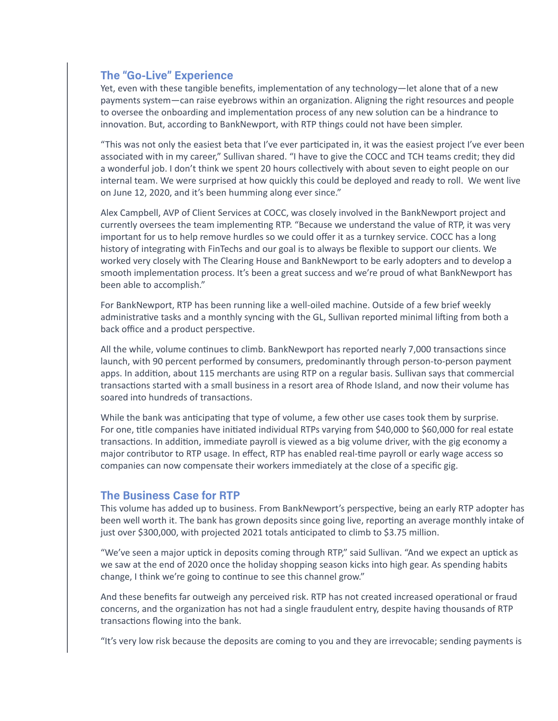#### **The "Go-Live" Experience**

Yet, even with these tangible benefits, implementation of any technology—let alone that of a new payments system—can raise eyebrows within an organization. Aligning the right resources and people to oversee the onboarding and implementation process of any new solution can be a hindrance to innovation. But, according to BankNewport, with RTP things could not have been simpler.

"This was not only the easiest beta that I've ever participated in, it was the easiest project I've ever been associated with in my career," Sullivan shared. "I have to give the COCC and TCH teams credit; they did a wonderful job. I don't think we spent 20 hours collectively with about seven to eight people on our internal team. We were surprised at how quickly this could be deployed and ready to roll. We went live on June 12, 2020, and it's been humming along ever since."

Alex Campbell, AVP of Client Services at COCC, was closely involved in the BankNewport project and currently oversees the team implementing RTP. "Because we understand the value of RTP, it was very important for us to help remove hurdles so we could offer it as a turnkey service. COCC has a long history of integrating with FinTechs and our goal is to always be flexible to support our clients. We worked very closely with The Clearing House and BankNewport to be early adopters and to develop a smooth implementation process. It's been a great success and we're proud of what BankNewport has been able to accomplish."

For BankNewport, RTP has been running like a well-oiled machine. Outside of a few brief weekly administrative tasks and a monthly syncing with the GL, Sullivan reported minimal lifting from both a back office and a product perspective.

All the while, volume continues to climb. BankNewport has reported nearly 7,000 transactions since launch, with 90 percent performed by consumers, predominantly through person-to-person payment apps. In addition, about 115 merchants are using RTP on a regular basis. Sullivan says that commercial transactions started with a small business in a resort area of Rhode Island, and now their volume has soared into hundreds of transactions.

While the bank was anticipating that type of volume, a few other use cases took them by surprise. For one, title companies have initiated individual RTPs varying from \$40,000 to \$60,000 for real estate transactions. In addition, immediate payroll is viewed as a big volume driver, with the gig economy a major contributor to RTP usage. In effect, RTP has enabled real-time payroll or early wage access so companies can now compensate their workers immediately at the close of a specific gig.

#### **The Business Case for RTP**

This volume has added up to business. From BankNewport's perspective, being an early RTP adopter has been well worth it. The bank has grown deposits since going live, reporting an average monthly intake of just over \$300,000, with projected 2021 totals anticipated to climb to \$3.75 million.

"We've seen a major uptick in deposits coming through RTP," said Sullivan. "And we expect an uptick as we saw at the end of 2020 once the holiday shopping season kicks into high gear. As spending habits change, I think we're going to continue to see this channel grow."

And these benefits far outweigh any perceived risk. RTP has not created increased operational or fraud concerns, and the organization has not had a single fraudulent entry, despite having thousands of RTP transactions flowing into the bank.

"It's very low risk because the deposits are coming to you and they are irrevocable; sending payments is